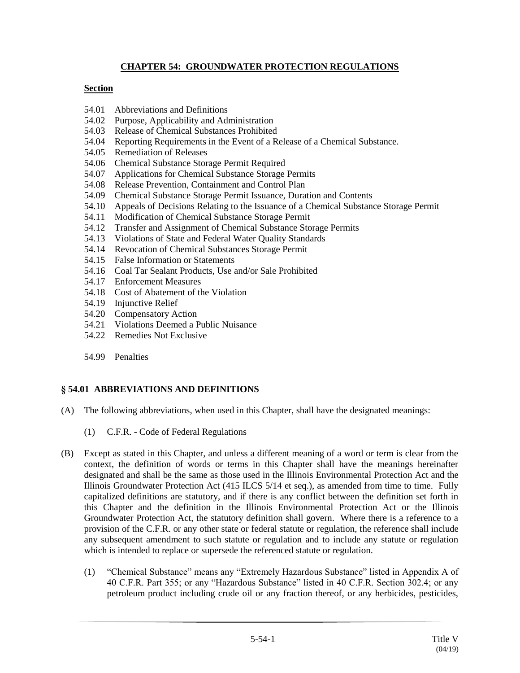# **CHAPTER 54: GROUNDWATER PROTECTION REGULATIONS**

### **Section**

- 54.01 Abbreviations and Definitions
- 54.02 Purpose, Applicability and Administration
- 54.03 Release of Chemical Substances Prohibited
- 54.04 Reporting Requirements in the Event of a Release of a Chemical Substance.
- 54.05 Remediation of Releases
- 54.06 Chemical Substance Storage Permit Required
- 54.07 Applications for Chemical Substance Storage Permits
- 54.08 Release Prevention, Containment and Control Plan
- 54.09 Chemical Substance Storage Permit Issuance, Duration and Contents
- 54.10 Appeals of Decisions Relating to the Issuance of a Chemical Substance Storage Permit
- 54.11 Modification of Chemical Substance Storage Permit
- 54.12 Transfer and Assignment of Chemical Substance Storage Permits
- 54.13 Violations of State and Federal Water Quality Standards
- 54.14 Revocation of Chemical Substances Storage Permit
- 54.15 False Information or Statements
- 54.16 Coal Tar Sealant Products, Use and/or Sale Prohibited
- 54.17 Enforcement Measures
- 54.18 Cost of Abatement of the Violation
- 54.19 Injunctive Relief
- 54.20 Compensatory Action
- 54.21 Violations Deemed a Public Nuisance
- 54.22 Remedies Not Exclusive
- 54.99 Penalties

## **§ 54.01 ABBREVIATIONS AND DEFINITIONS**

- (A) The following abbreviations, when used in this Chapter, shall have the designated meanings:
	- (1) C.F.R. Code of Federal Regulations
- (B) Except as stated in this Chapter, and unless a different meaning of a word or term is clear from the context, the definition of words or terms in this Chapter shall have the meanings hereinafter designated and shall be the same as those used in the Illinois Environmental Protection Act and the Illinois Groundwater Protection Act (415 ILCS 5/14 et seq.), as amended from time to time. Fully capitalized definitions are statutory, and if there is any conflict between the definition set forth in this Chapter and the definition in the Illinois Environmental Protection Act or the Illinois Groundwater Protection Act, the statutory definition shall govern. Where there is a reference to a provision of the C.F.R. or any other state or federal statute or regulation, the reference shall include any subsequent amendment to such statute or regulation and to include any statute or regulation which is intended to replace or supersede the referenced statute or regulation.
	- (1) "Chemical Substance" means any "Extremely Hazardous Substance" listed in Appendix A of 40 C.F.R. Part 355; or any "Hazardous Substance" listed in 40 C.F.R. Section 302.4; or any petroleum product including crude oil or any fraction thereof, or any herbicides, pesticides,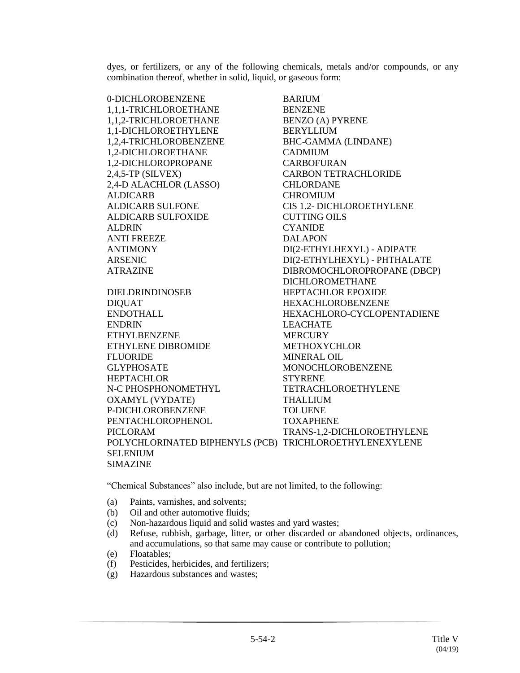dyes, or fertilizers, or any of the following chemicals, metals and/or compounds, or any combination thereof, whether in solid, liquid, or gaseous form:

0-DICHLOROBENZENE BARIUM 1,1,1-TRICHLOROETHANE BENZENE 1,1,2-TRICHLOROETHANE BENZO (A) PYRENE 1,1-DICHLOROETHYLENE BERYLLIUM 1,2,4-TRICHLOROBENZENE BHC-GAMMA (LINDANE) 1,2-DICHLOROETHANE CADMIUM 1,2-DICHLOROPROPANE CARBOFURAN 2,4,5-TP (SILVEX) CARBON TETRACHLORIDE 2,4-D ALACHLOR (LASSO) CHLORDANE ALDICARB CHROMIUM ALDICARB SULFONE CIS 1.2- DICHLOROETHYLENE ALDICARB SULFOXIDE CUTTING OILS ALDRIN CYANIDE ANTI FREEZE DALAPON ANTIMONY DI(2-ETHYLHEXYL) - ADIPATE ARSENIC DI(2-ETHYLHEXYL) - PHTHALATE ATRAZINE DIBROMOCHLOROPROPANE (DBCP)

DICHLOROMETHANE DIELDRINDINOSEB HEPTACHLOR EPOXIDE DIQUAT HEXACHLOROBENZENE ENDOTHALL HEXACHLORO-CYCLOPENTADIENE ENDRIN LEACHATE ETHYLBENZENE MERCURY ETHYLENE DIBROMIDE METHOXYCHLOR FLUORIDE MINERAL OIL GLYPHOSATE MONOCHLOROBENZENE HEPTACHLOR STYRENE N-C PHOSPHONOMETHYL TETRACHLOROETHYLENE OXAMYL (VYDATE) THALLIUM P-DICHLOROBENZENE TOLUENE PENTACHLOROPHENOL TOXAPHENE PICLORAM TRANS-1,2-DICHLOROETHYLENE POLYCHLORINATED BIPHENYLS (PCB) TRICHLOROETHYLENEXYLENE SELENIUM SIMAZINE

"Chemical Substances" also include, but are not limited, to the following:

- (a) Paints, varnishes, and solvents;
- (b) Oil and other automotive fluids;
- (c) Non-hazardous liquid and solid wastes and yard wastes;
- (d) Refuse, rubbish, garbage, litter, or other discarded or abandoned objects, ordinances, and accumulations, so that same may cause or contribute to pollution;
- (e) Floatables;
- (f) Pesticides, herbicides, and fertilizers;
- (g) Hazardous substances and wastes;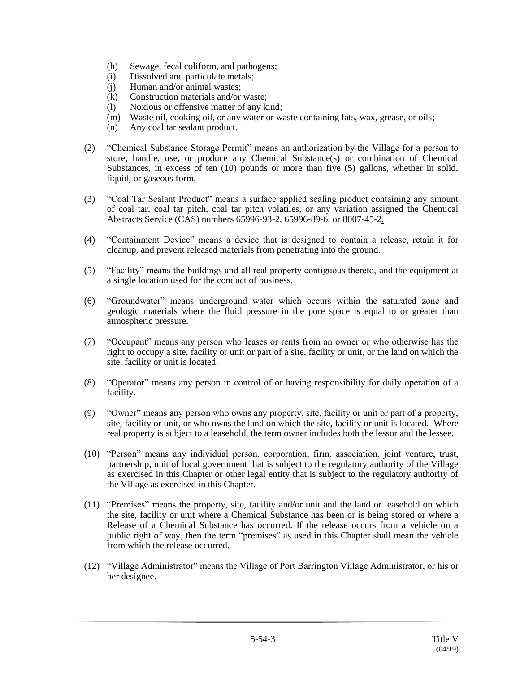- (h) Sewage, fecal coliform, and pathogens;
- (i) Dissolved and particulate metals;
- (j) Human and/or animal wastes;
- (k) Construction materials and/or waste;
- (l) Noxious or offensive matter of any kind;
- (m) Waste oil, cooking oil, or any water or waste containing fats, wax, grease, or oils;
- (n) Any coal tar sealant product.
- (2) "Chemical Substance Storage Permit" means an authorization by the Village for a person to store, handle, use, or produce any Chemical Substance(s) or combination of Chemical Substances, in excess of ten (10) pounds or more than five (5) gallons, whether in solid, liquid, or gaseous form.
- (3) "Coal Tar Sealant Product" means a surface applied sealing product containing any amount of coal tar, coal tar pitch, coal tar pitch volatiles, or any variation assigned the Chemical Abstracts Service (CAS) numbers 65996-93-2, 65996-89-6, or 8007-45-2.
- (4) "Containment Device" means a device that is designed to contain a release, retain it for cleanup, and prevent released materials from penetrating into the ground.
- (5) "Facility" means the buildings and all real property contiguous thereto, and the equipment at a single location used for the conduct of business.
- (6) "Groundwater" means underground water which occurs within the saturated zone and geologic materials where the fluid pressure in the pore space is equal to or greater than atmospheric pressure.
- (7) "Occupant" means any person who leases or rents from an owner or who otherwise has the right to occupy a site, facility or unit or part of a site, facility or unit, or the land on which the site, facility or unit is located.
- (8) "Operator" means any person in control of or having responsibility for daily operation of a facility.
- (9) "Owner" means any person who owns any property, site, facility or unit or part of a property, site, facility or unit, or who owns the land on which the site, facility or unit is located. Where real property is subject to a leasehold, the term owner includes both the lessor and the lessee.
- (10) "Person" means any individual person, corporation, firm, association, joint venture, trust, partnership, unit of local government that is subject to the regulatory authority of the Village as exercised in this Chapter or other legal entity that is subject to the regulatory authority of the Village as exercised in this Chapter.
- (11) "Premises" means the property, site, facility and/or unit and the land or leasehold on which the site, facility or unit where a Chemical Substance has been or is being stored or where a Release of a Chemical Substance has occurred. If the release occurs from a vehicle on a public right of way, then the term "premises" as used in this Chapter shall mean the vehicle from which the release occurred.
- (12) "Village Administrator" means the Village of Port Barrington Village Administrator, or his or her designee.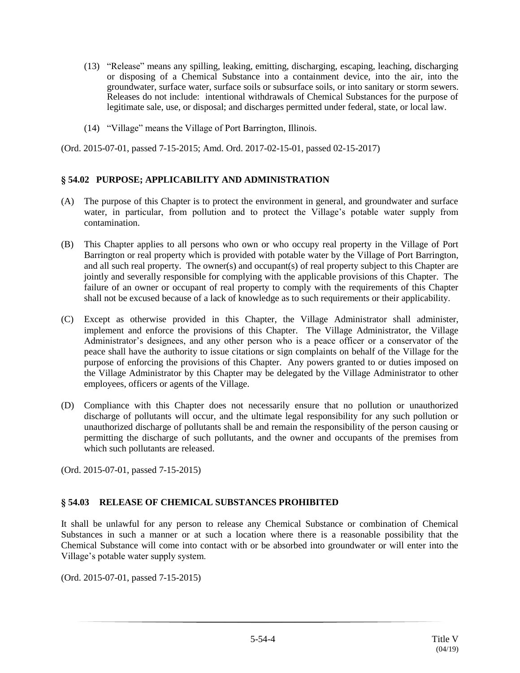- (13) "Release" means any spilling, leaking, emitting, discharging, escaping, leaching, discharging or disposing of a Chemical Substance into a containment device, into the air, into the groundwater, surface water, surface soils or subsurface soils, or into sanitary or storm sewers. Releases do not include: intentional withdrawals of Chemical Substances for the purpose of legitimate sale, use, or disposal; and discharges permitted under federal, state, or local law.
- (14) "Village" means the Village of Port Barrington, Illinois.

(Ord. 2015-07-01, passed 7-15-2015; Amd. Ord. 2017-02-15-01, passed 02-15-2017)

## **§ 54.02 PURPOSE; APPLICABILITY AND ADMINISTRATION**

- (A) The purpose of this Chapter is to protect the environment in general, and groundwater and surface water, in particular, from pollution and to protect the Village's potable water supply from contamination.
- (B) This Chapter applies to all persons who own or who occupy real property in the Village of Port Barrington or real property which is provided with potable water by the Village of Port Barrington, and all such real property. The owner(s) and occupant(s) of real property subject to this Chapter are jointly and severally responsible for complying with the applicable provisions of this Chapter. The failure of an owner or occupant of real property to comply with the requirements of this Chapter shall not be excused because of a lack of knowledge as to such requirements or their applicability.
- (C) Except as otherwise provided in this Chapter, the Village Administrator shall administer, implement and enforce the provisions of this Chapter. The Village Administrator, the Village Administrator's designees, and any other person who is a peace officer or a conservator of the peace shall have the authority to issue citations or sign complaints on behalf of the Village for the purpose of enforcing the provisions of this Chapter. Any powers granted to or duties imposed on the Village Administrator by this Chapter may be delegated by the Village Administrator to other employees, officers or agents of the Village.
- (D) Compliance with this Chapter does not necessarily ensure that no pollution or unauthorized discharge of pollutants will occur, and the ultimate legal responsibility for any such pollution or unauthorized discharge of pollutants shall be and remain the responsibility of the person causing or permitting the discharge of such pollutants, and the owner and occupants of the premises from which such pollutants are released.

(Ord. 2015-07-01, passed 7-15-2015)

#### **§ 54.03 RELEASE OF CHEMICAL SUBSTANCES PROHIBITED**

It shall be unlawful for any person to release any Chemical Substance or combination of Chemical Substances in such a manner or at such a location where there is a reasonable possibility that the Chemical Substance will come into contact with or be absorbed into groundwater or will enter into the Village's potable water supply system.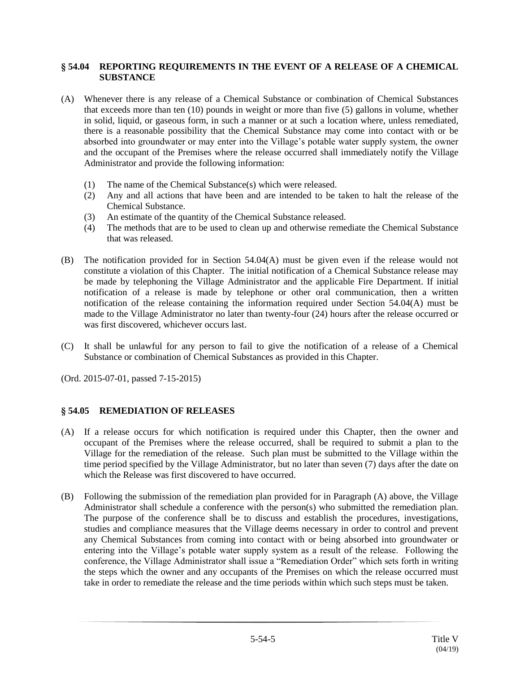### **§ 54.04 REPORTING REQUIREMENTS IN THE EVENT OF A RELEASE OF A CHEMICAL SUBSTANCE**

- (A) Whenever there is any release of a Chemical Substance or combination of Chemical Substances that exceeds more than ten (10) pounds in weight or more than five (5) gallons in volume, whether in solid, liquid, or gaseous form, in such a manner or at such a location where, unless remediated, there is a reasonable possibility that the Chemical Substance may come into contact with or be absorbed into groundwater or may enter into the Village's potable water supply system, the owner and the occupant of the Premises where the release occurred shall immediately notify the Village Administrator and provide the following information:
	- (1) The name of the Chemical Substance(s) which were released.
	- (2) Any and all actions that have been and are intended to be taken to halt the release of the Chemical Substance.
	- (3) An estimate of the quantity of the Chemical Substance released.
	- (4) The methods that are to be used to clean up and otherwise remediate the Chemical Substance that was released.
- (B) The notification provided for in Section 54.04(A) must be given even if the release would not constitute a violation of this Chapter. The initial notification of a Chemical Substance release may be made by telephoning the Village Administrator and the applicable Fire Department. If initial notification of a release is made by telephone or other oral communication, then a written notification of the release containing the information required under Section 54.04(A) must be made to the Village Administrator no later than twenty-four (24) hours after the release occurred or was first discovered, whichever occurs last.
- (C) It shall be unlawful for any person to fail to give the notification of a release of a Chemical Substance or combination of Chemical Substances as provided in this Chapter.
- (Ord. 2015-07-01, passed 7-15-2015)

## **§ 54.05 REMEDIATION OF RELEASES**

- (A) If a release occurs for which notification is required under this Chapter, then the owner and occupant of the Premises where the release occurred, shall be required to submit a plan to the Village for the remediation of the release. Such plan must be submitted to the Village within the time period specified by the Village Administrator, but no later than seven (7) days after the date on which the Release was first discovered to have occurred.
- (B) Following the submission of the remediation plan provided for in Paragraph (A) above, the Village Administrator shall schedule a conference with the person(s) who submitted the remediation plan. The purpose of the conference shall be to discuss and establish the procedures, investigations, studies and compliance measures that the Village deems necessary in order to control and prevent any Chemical Substances from coming into contact with or being absorbed into groundwater or entering into the Village's potable water supply system as a result of the release. Following the conference, the Village Administrator shall issue a "Remediation Order" which sets forth in writing the steps which the owner and any occupants of the Premises on which the release occurred must take in order to remediate the release and the time periods within which such steps must be taken.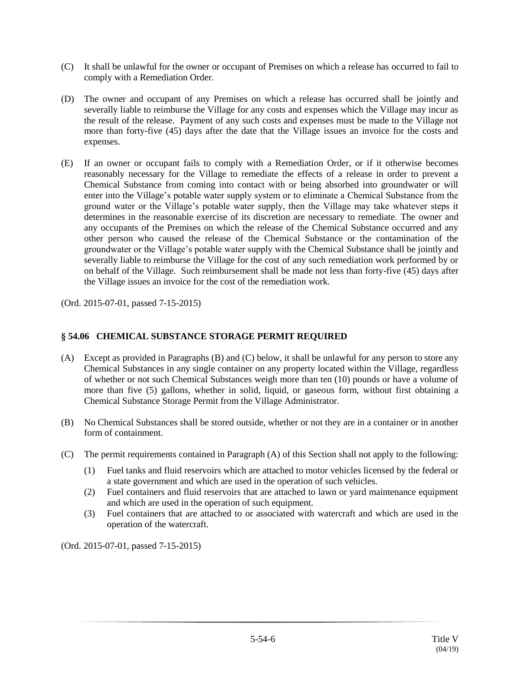- (C) It shall be unlawful for the owner or occupant of Premises on which a release has occurred to fail to comply with a Remediation Order.
- (D) The owner and occupant of any Premises on which a release has occurred shall be jointly and severally liable to reimburse the Village for any costs and expenses which the Village may incur as the result of the release. Payment of any such costs and expenses must be made to the Village not more than forty-five (45) days after the date that the Village issues an invoice for the costs and expenses.
- (E) If an owner or occupant fails to comply with a Remediation Order, or if it otherwise becomes reasonably necessary for the Village to remediate the effects of a release in order to prevent a Chemical Substance from coming into contact with or being absorbed into groundwater or will enter into the Village's potable water supply system or to eliminate a Chemical Substance from the ground water or the Village's potable water supply, then the Village may take whatever steps it determines in the reasonable exercise of its discretion are necessary to remediate. The owner and any occupants of the Premises on which the release of the Chemical Substance occurred and any other person who caused the release of the Chemical Substance or the contamination of the groundwater or the Village's potable water supply with the Chemical Substance shall be jointly and severally liable to reimburse the Village for the cost of any such remediation work performed by or on behalf of the Village. Such reimbursement shall be made not less than forty-five (45) days after the Village issues an invoice for the cost of the remediation work.

## **§ 54.06 CHEMICAL SUBSTANCE STORAGE PERMIT REQUIRED**

- (A) Except as provided in Paragraphs (B) and (C) below, it shall be unlawful for any person to store any Chemical Substances in any single container on any property located within the Village, regardless of whether or not such Chemical Substances weigh more than ten (10) pounds or have a volume of more than five (5) gallons, whether in solid, liquid, or gaseous form, without first obtaining a Chemical Substance Storage Permit from the Village Administrator.
- (B) No Chemical Substances shall be stored outside, whether or not they are in a container or in another form of containment.
- (C) The permit requirements contained in Paragraph (A) of this Section shall not apply to the following:
	- (1) Fuel tanks and fluid reservoirs which are attached to motor vehicles licensed by the federal or a state government and which are used in the operation of such vehicles.
	- (2) Fuel containers and fluid reservoirs that are attached to lawn or yard maintenance equipment and which are used in the operation of such equipment.
	- (3) Fuel containers that are attached to or associated with watercraft and which are used in the operation of the watercraft.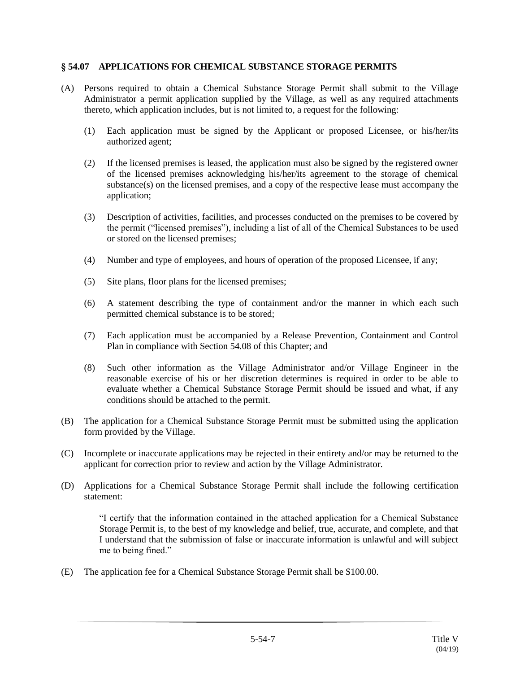### **§ 54.07 APPLICATIONS FOR CHEMICAL SUBSTANCE STORAGE PERMITS**

- (A) Persons required to obtain a Chemical Substance Storage Permit shall submit to the Village Administrator a permit application supplied by the Village, as well as any required attachments thereto, which application includes, but is not limited to, a request for the following:
	- (1) Each application must be signed by the Applicant or proposed Licensee, or his/her/its authorized agent;
	- (2) If the licensed premises is leased, the application must also be signed by the registered owner of the licensed premises acknowledging his/her/its agreement to the storage of chemical substance $(s)$  on the licensed premises, and a copy of the respective lease must accompany the application;
	- (3) Description of activities, facilities, and processes conducted on the premises to be covered by the permit ("licensed premises"), including a list of all of the Chemical Substances to be used or stored on the licensed premises;
	- (4) Number and type of employees, and hours of operation of the proposed Licensee, if any;
	- (5) Site plans, floor plans for the licensed premises;
	- (6) A statement describing the type of containment and/or the manner in which each such permitted chemical substance is to be stored;
	- (7) Each application must be accompanied by a Release Prevention, Containment and Control Plan in compliance with Section 54.08 of this Chapter; and
	- (8) Such other information as the Village Administrator and/or Village Engineer in the reasonable exercise of his or her discretion determines is required in order to be able to evaluate whether a Chemical Substance Storage Permit should be issued and what, if any conditions should be attached to the permit.
- (B) The application for a Chemical Substance Storage Permit must be submitted using the application form provided by the Village.
- (C) Incomplete or inaccurate applications may be rejected in their entirety and/or may be returned to the applicant for correction prior to review and action by the Village Administrator.
- (D) Applications for a Chemical Substance Storage Permit shall include the following certification statement:

"I certify that the information contained in the attached application for a Chemical Substance Storage Permit is, to the best of my knowledge and belief, true, accurate, and complete, and that I understand that the submission of false or inaccurate information is unlawful and will subject me to being fined."

(E) The application fee for a Chemical Substance Storage Permit shall be \$100.00.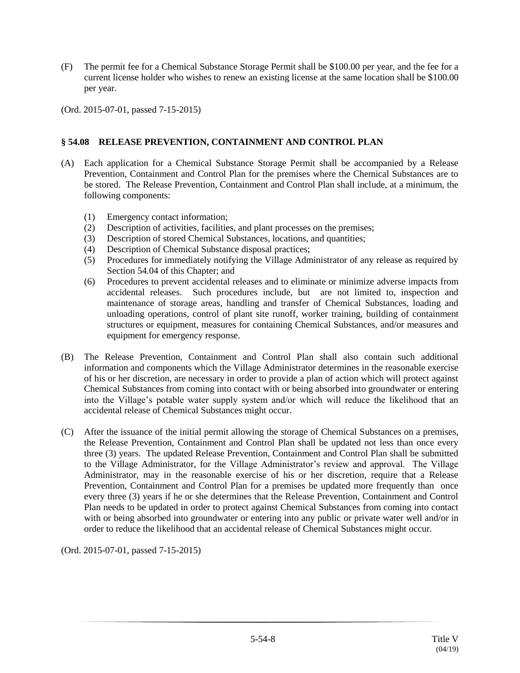- (F) The permit fee for a Chemical Substance Storage Permit shall be \$100.00 per year, and the fee for a current license holder who wishes to renew an existing license at the same location shall be \$100.00 per year.
- (Ord. 2015-07-01, passed 7-15-2015)

## **§ 54.08 RELEASE PREVENTION, CONTAINMENT AND CONTROL PLAN**

- (A) Each application for a Chemical Substance Storage Permit shall be accompanied by a Release Prevention, Containment and Control Plan for the premises where the Chemical Substances are to be stored. The Release Prevention, Containment and Control Plan shall include, at a minimum, the following components:
	- (1) Emergency contact information;
	- (2) Description of activities, facilities, and plant processes on the premises;
	- (3) Description of stored Chemical Substances, locations, and quantities;
	- (4) Description of Chemical Substance disposal practices;
	- (5) Procedures for immediately notifying the Village Administrator of any release as required by Section 54.04 of this Chapter; and
	- (6) Procedures to prevent accidental releases and to eliminate or minimize adverse impacts from accidental releases. Such procedures include, but are not limited to, inspection and maintenance of storage areas, handling and transfer of Chemical Substances, loading and unloading operations, control of plant site runoff, worker training, building of containment structures or equipment, measures for containing Chemical Substances, and/or measures and equipment for emergency response.
- (B) The Release Prevention, Containment and Control Plan shall also contain such additional information and components which the Village Administrator determines in the reasonable exercise of his or her discretion, are necessary in order to provide a plan of action which will protect against Chemical Substances from coming into contact with or being absorbed into groundwater or entering into the Village's potable water supply system and/or which will reduce the likelihood that an accidental release of Chemical Substances might occur.
- (C) After the issuance of the initial permit allowing the storage of Chemical Substances on a premises, the Release Prevention, Containment and Control Plan shall be updated not less than once every three (3) years. The updated Release Prevention, Containment and Control Plan shall be submitted to the Village Administrator, for the Village Administrator's review and approval. The Village Administrator, may in the reasonable exercise of his or her discretion, require that a Release Prevention, Containment and Control Plan for a premises be updated more frequently than once every three (3) years if he or she determines that the Release Prevention, Containment and Control Plan needs to be updated in order to protect against Chemical Substances from coming into contact with or being absorbed into groundwater or entering into any public or private water well and/or in order to reduce the likelihood that an accidental release of Chemical Substances might occur.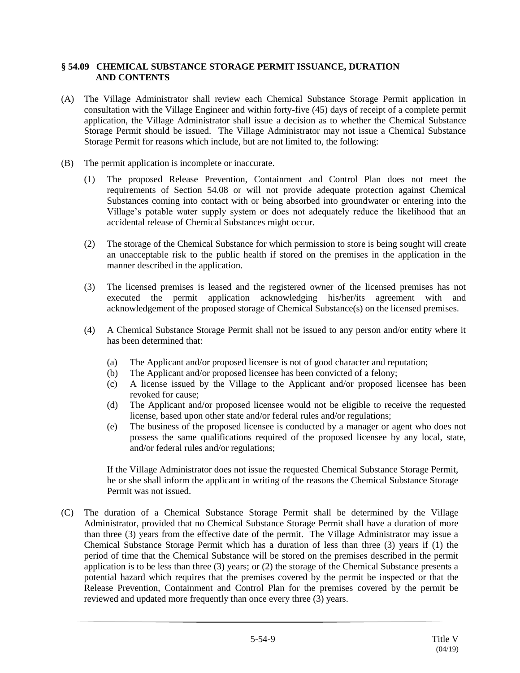### **§ 54.09 CHEMICAL SUBSTANCE STORAGE PERMIT ISSUANCE, DURATION AND CONTENTS**

- (A) The Village Administrator shall review each Chemical Substance Storage Permit application in consultation with the Village Engineer and within forty-five (45) days of receipt of a complete permit application, the Village Administrator shall issue a decision as to whether the Chemical Substance Storage Permit should be issued. The Village Administrator may not issue a Chemical Substance Storage Permit for reasons which include, but are not limited to, the following:
- (B) The permit application is incomplete or inaccurate.
	- (1) The proposed Release Prevention, Containment and Control Plan does not meet the requirements of Section 54.08 or will not provide adequate protection against Chemical Substances coming into contact with or being absorbed into groundwater or entering into the Village's potable water supply system or does not adequately reduce the likelihood that an accidental release of Chemical Substances might occur.
	- (2) The storage of the Chemical Substance for which permission to store is being sought will create an unacceptable risk to the public health if stored on the premises in the application in the manner described in the application.
	- (3) The licensed premises is leased and the registered owner of the licensed premises has not executed the permit application acknowledging his/her/its agreement with and acknowledgement of the proposed storage of Chemical Substance(s) on the licensed premises.
	- (4) A Chemical Substance Storage Permit shall not be issued to any person and/or entity where it has been determined that:
		- (a) The Applicant and/or proposed licensee is not of good character and reputation;
		- (b) The Applicant and/or proposed licensee has been convicted of a felony;
		- (c) A license issued by the Village to the Applicant and/or proposed licensee has been revoked for cause;
		- (d) The Applicant and/or proposed licensee would not be eligible to receive the requested license, based upon other state and/or federal rules and/or regulations;
		- (e) The business of the proposed licensee is conducted by a manager or agent who does not possess the same qualifications required of the proposed licensee by any local, state, and/or federal rules and/or regulations;

If the Village Administrator does not issue the requested Chemical Substance Storage Permit, he or she shall inform the applicant in writing of the reasons the Chemical Substance Storage Permit was not issued.

(C) The duration of a Chemical Substance Storage Permit shall be determined by the Village Administrator, provided that no Chemical Substance Storage Permit shall have a duration of more than three (3) years from the effective date of the permit. The Village Administrator may issue a Chemical Substance Storage Permit which has a duration of less than three (3) years if (1) the period of time that the Chemical Substance will be stored on the premises described in the permit application is to be less than three (3) years; or (2) the storage of the Chemical Substance presents a potential hazard which requires that the premises covered by the permit be inspected or that the Release Prevention, Containment and Control Plan for the premises covered by the permit be reviewed and updated more frequently than once every three (3) years.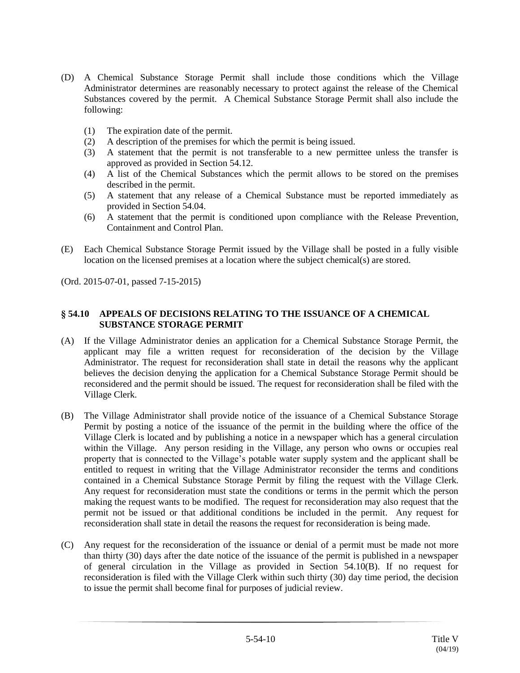- (D) A Chemical Substance Storage Permit shall include those conditions which the Village Administrator determines are reasonably necessary to protect against the release of the Chemical Substances covered by the permit. A Chemical Substance Storage Permit shall also include the following:
	- (1) The expiration date of the permit.
	- (2) A description of the premises for which the permit is being issued.
	- (3) A statement that the permit is not transferable to a new permittee unless the transfer is approved as provided in Section 54.12.
	- (4) A list of the Chemical Substances which the permit allows to be stored on the premises described in the permit.
	- (5) A statement that any release of a Chemical Substance must be reported immediately as provided in Section 54.04.
	- (6) A statement that the permit is conditioned upon compliance with the Release Prevention, Containment and Control Plan.
- (E) Each Chemical Substance Storage Permit issued by the Village shall be posted in a fully visible location on the licensed premises at a location where the subject chemical(s) are stored.

### **§ 54.10 APPEALS OF DECISIONS RELATING TO THE ISSUANCE OF A CHEMICAL SUBSTANCE STORAGE PERMIT**

- (A) If the Village Administrator denies an application for a Chemical Substance Storage Permit, the applicant may file a written request for reconsideration of the decision by the Village Administrator. The request for reconsideration shall state in detail the reasons why the applicant believes the decision denying the application for a Chemical Substance Storage Permit should be reconsidered and the permit should be issued. The request for reconsideration shall be filed with the Village Clerk.
- (B) The Village Administrator shall provide notice of the issuance of a Chemical Substance Storage Permit by posting a notice of the issuance of the permit in the building where the office of the Village Clerk is located and by publishing a notice in a newspaper which has a general circulation within the Village. Any person residing in the Village, any person who owns or occupies real property that is connected to the Village's potable water supply system and the applicant shall be entitled to request in writing that the Village Administrator reconsider the terms and conditions contained in a Chemical Substance Storage Permit by filing the request with the Village Clerk. Any request for reconsideration must state the conditions or terms in the permit which the person making the request wants to be modified. The request for reconsideration may also request that the permit not be issued or that additional conditions be included in the permit. Any request for reconsideration shall state in detail the reasons the request for reconsideration is being made.
- (C) Any request for the reconsideration of the issuance or denial of a permit must be made not more than thirty (30) days after the date notice of the issuance of the permit is published in a newspaper of general circulation in the Village as provided in Section 54.10(B). If no request for reconsideration is filed with the Village Clerk within such thirty (30) day time period, the decision to issue the permit shall become final for purposes of judicial review.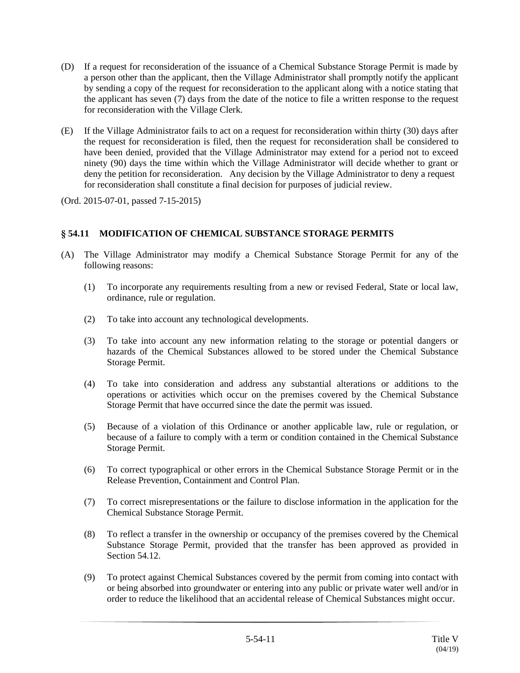- (D) If a request for reconsideration of the issuance of a Chemical Substance Storage Permit is made by a person other than the applicant, then the Village Administrator shall promptly notify the applicant by sending a copy of the request for reconsideration to the applicant along with a notice stating that the applicant has seven (7) days from the date of the notice to file a written response to the request for reconsideration with the Village Clerk.
- (E) If the Village Administrator fails to act on a request for reconsideration within thirty (30) days after the request for reconsideration is filed, then the request for reconsideration shall be considered to have been denied, provided that the Village Administrator may extend for a period not to exceed ninety (90) days the time within which the Village Administrator will decide whether to grant or deny the petition for reconsideration. Any decision by the Village Administrator to deny a request for reconsideration shall constitute a final decision for purposes of judicial review.

# **§ 54.11 MODIFICATION OF CHEMICAL SUBSTANCE STORAGE PERMITS**

- (A) The Village Administrator may modify a Chemical Substance Storage Permit for any of the following reasons:
	- (1) To incorporate any requirements resulting from a new or revised Federal, State or local law, ordinance, rule or regulation.
	- (2) To take into account any technological developments.
	- (3) To take into account any new information relating to the storage or potential dangers or hazards of the Chemical Substances allowed to be stored under the Chemical Substance Storage Permit.
	- (4) To take into consideration and address any substantial alterations or additions to the operations or activities which occur on the premises covered by the Chemical Substance Storage Permit that have occurred since the date the permit was issued.
	- (5) Because of a violation of this Ordinance or another applicable law, rule or regulation, or because of a failure to comply with a term or condition contained in the Chemical Substance Storage Permit.
	- (6) To correct typographical or other errors in the Chemical Substance Storage Permit or in the Release Prevention, Containment and Control Plan.
	- (7) To correct misrepresentations or the failure to disclose information in the application for the Chemical Substance Storage Permit.
	- (8) To reflect a transfer in the ownership or occupancy of the premises covered by the Chemical Substance Storage Permit, provided that the transfer has been approved as provided in Section 54.12.
	- (9) To protect against Chemical Substances covered by the permit from coming into contact with or being absorbed into groundwater or entering into any public or private water well and/or in order to reduce the likelihood that an accidental release of Chemical Substances might occur.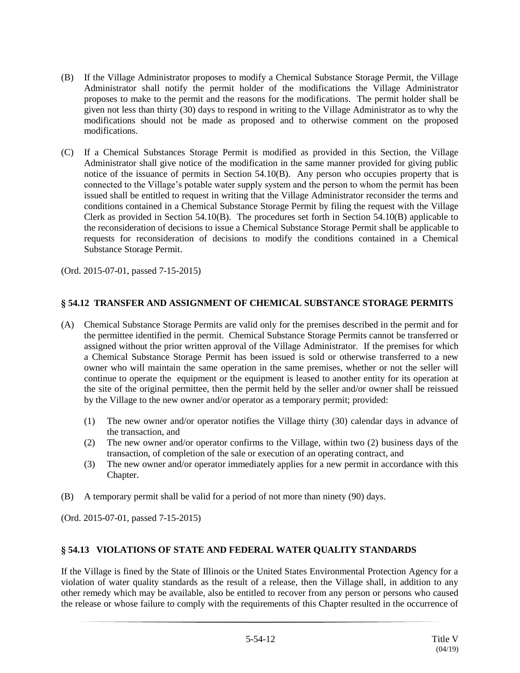- (B) If the Village Administrator proposes to modify a Chemical Substance Storage Permit, the Village Administrator shall notify the permit holder of the modifications the Village Administrator proposes to make to the permit and the reasons for the modifications. The permit holder shall be given not less than thirty (30) days to respond in writing to the Village Administrator as to why the modifications should not be made as proposed and to otherwise comment on the proposed modifications.
- (C) If a Chemical Substances Storage Permit is modified as provided in this Section, the Village Administrator shall give notice of the modification in the same manner provided for giving public notice of the issuance of permits in Section 54.10(B). Any person who occupies property that is connected to the Village's potable water supply system and the person to whom the permit has been issued shall be entitled to request in writing that the Village Administrator reconsider the terms and conditions contained in a Chemical Substance Storage Permit by filing the request with the Village Clerk as provided in Section 54.10(B). The procedures set forth in Section 54.10(B) applicable to the reconsideration of decisions to issue a Chemical Substance Storage Permit shall be applicable to requests for reconsideration of decisions to modify the conditions contained in a Chemical Substance Storage Permit.

# **§ 54.12 TRANSFER AND ASSIGNMENT OF CHEMICAL SUBSTANCE STORAGE PERMITS**

- (A) Chemical Substance Storage Permits are valid only for the premises described in the permit and for the permittee identified in the permit. Chemical Substance Storage Permits cannot be transferred or assigned without the prior written approval of the Village Administrator. If the premises for which a Chemical Substance Storage Permit has been issued is sold or otherwise transferred to a new owner who will maintain the same operation in the same premises, whether or not the seller will continue to operate the equipment or the equipment is leased to another entity for its operation at the site of the original permittee, then the permit held by the seller and/or owner shall be reissued by the Village to the new owner and/or operator as a temporary permit; provided:
	- (1) The new owner and/or operator notifies the Village thirty (30) calendar days in advance of the transaction, and
	- (2) The new owner and/or operator confirms to the Village, within two (2) business days of the transaction, of completion of the sale or execution of an operating contract, and
	- (3) The new owner and/or operator immediately applies for a new permit in accordance with this Chapter.
- (B) A temporary permit shall be valid for a period of not more than ninety (90) days.

(Ord. 2015-07-01, passed 7-15-2015)

## **§ 54.13 VIOLATIONS OF STATE AND FEDERAL WATER QUALITY STANDARDS**

If the Village is fined by the State of Illinois or the United States Environmental Protection Agency for a violation of water quality standards as the result of a release, then the Village shall, in addition to any other remedy which may be available, also be entitled to recover from any person or persons who caused the release or whose failure to comply with the requirements of this Chapter resulted in the occurrence of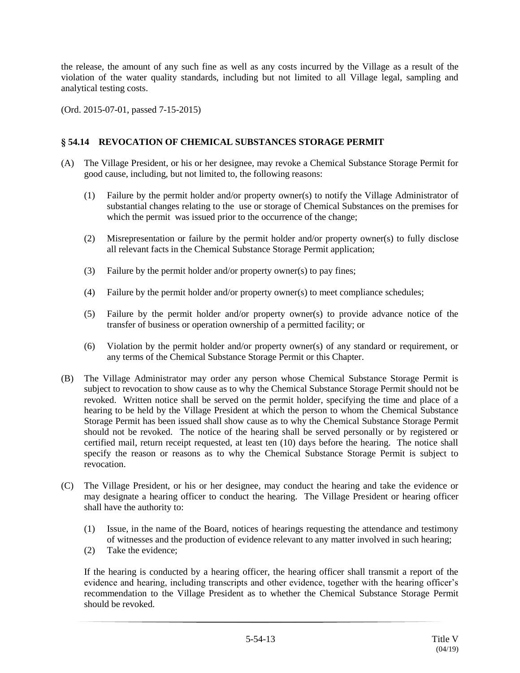the release, the amount of any such fine as well as any costs incurred by the Village as a result of the violation of the water quality standards, including but not limited to all Village legal, sampling and analytical testing costs.

(Ord. 2015-07-01, passed 7-15-2015)

# **§ 54.14 REVOCATION OF CHEMICAL SUBSTANCES STORAGE PERMIT**

- (A) The Village President, or his or her designee, may revoke a Chemical Substance Storage Permit for good cause, including, but not limited to, the following reasons:
	- (1) Failure by the permit holder and/or property owner(s) to notify the Village Administrator of substantial changes relating to the use or storage of Chemical Substances on the premises for which the permit was issued prior to the occurrence of the change;
	- (2) Misrepresentation or failure by the permit holder and/or property owner(s) to fully disclose all relevant facts in the Chemical Substance Storage Permit application;
	- (3) Failure by the permit holder and/or property owner(s) to pay fines;
	- (4) Failure by the permit holder and/or property owner(s) to meet compliance schedules;
	- (5) Failure by the permit holder and/or property owner(s) to provide advance notice of the transfer of business or operation ownership of a permitted facility; or
	- (6) Violation by the permit holder and/or property owner(s) of any standard or requirement, or any terms of the Chemical Substance Storage Permit or this Chapter.
- (B) The Village Administrator may order any person whose Chemical Substance Storage Permit is subject to revocation to show cause as to why the Chemical Substance Storage Permit should not be revoked. Written notice shall be served on the permit holder, specifying the time and place of a hearing to be held by the Village President at which the person to whom the Chemical Substance Storage Permit has been issued shall show cause as to why the Chemical Substance Storage Permit should not be revoked. The notice of the hearing shall be served personally or by registered or certified mail, return receipt requested, at least ten (10) days before the hearing. The notice shall specify the reason or reasons as to why the Chemical Substance Storage Permit is subject to revocation.
- (C) The Village President, or his or her designee, may conduct the hearing and take the evidence or may designate a hearing officer to conduct the hearing. The Village President or hearing officer shall have the authority to:
	- (1) Issue, in the name of the Board, notices of hearings requesting the attendance and testimony of witnesses and the production of evidence relevant to any matter involved in such hearing;
	- (2) Take the evidence;

If the hearing is conducted by a hearing officer, the hearing officer shall transmit a report of the evidence and hearing, including transcripts and other evidence, together with the hearing officer's recommendation to the Village President as to whether the Chemical Substance Storage Permit should be revoked.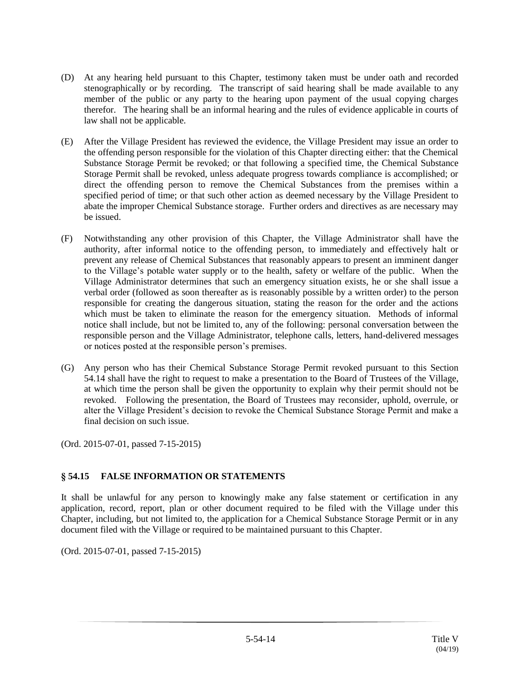- (D) At any hearing held pursuant to this Chapter, testimony taken must be under oath and recorded stenographically or by recording. The transcript of said hearing shall be made available to any member of the public or any party to the hearing upon payment of the usual copying charges therefor. The hearing shall be an informal hearing and the rules of evidence applicable in courts of law shall not be applicable.
- (E) After the Village President has reviewed the evidence, the Village President may issue an order to the offending person responsible for the violation of this Chapter directing either: that the Chemical Substance Storage Permit be revoked; or that following a specified time, the Chemical Substance Storage Permit shall be revoked, unless adequate progress towards compliance is accomplished; or direct the offending person to remove the Chemical Substances from the premises within a specified period of time; or that such other action as deemed necessary by the Village President to abate the improper Chemical Substance storage. Further orders and directives as are necessary may be issued.
- (F) Notwithstanding any other provision of this Chapter, the Village Administrator shall have the authority, after informal notice to the offending person, to immediately and effectively halt or prevent any release of Chemical Substances that reasonably appears to present an imminent danger to the Village's potable water supply or to the health, safety or welfare of the public. When the Village Administrator determines that such an emergency situation exists, he or she shall issue a verbal order (followed as soon thereafter as is reasonably possible by a written order) to the person responsible for creating the dangerous situation, stating the reason for the order and the actions which must be taken to eliminate the reason for the emergency situation. Methods of informal notice shall include, but not be limited to, any of the following: personal conversation between the responsible person and the Village Administrator, telephone calls, letters, hand-delivered messages or notices posted at the responsible person's premises.
- (G) Any person who has their Chemical Substance Storage Permit revoked pursuant to this Section 54.14 shall have the right to request to make a presentation to the Board of Trustees of the Village, at which time the person shall be given the opportunity to explain why their permit should not be revoked. Following the presentation, the Board of Trustees may reconsider, uphold, overrule, or alter the Village President's decision to revoke the Chemical Substance Storage Permit and make a final decision on such issue.

# **§ 54.15 FALSE INFORMATION OR STATEMENTS**

It shall be unlawful for any person to knowingly make any false statement or certification in any application, record, report, plan or other document required to be filed with the Village under this Chapter, including, but not limited to, the application for a Chemical Substance Storage Permit or in any document filed with the Village or required to be maintained pursuant to this Chapter.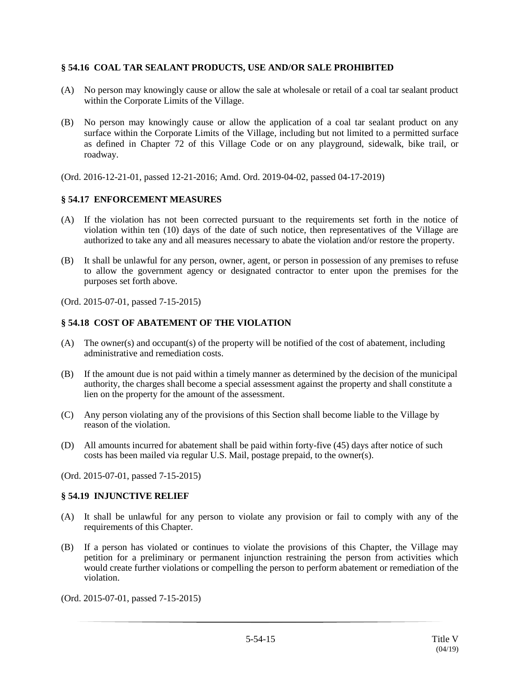## **§ 54.16 COAL TAR SEALANT PRODUCTS, USE AND/OR SALE PROHIBITED**

- (A) No person may knowingly cause or allow the sale at wholesale or retail of a coal tar sealant product within the Corporate Limits of the Village.
- (B) No person may knowingly cause or allow the application of a coal tar sealant product on any surface within the Corporate Limits of the Village, including but not limited to a permitted surface as defined in Chapter 72 of this Village Code or on any playground, sidewalk, bike trail, or roadway.
- (Ord. 2016-12-21-01, passed 12-21-2016; Amd. Ord. 2019-04-02, passed 04-17-2019)

#### **§ 54.17 ENFORCEMENT MEASURES**

- (A) If the violation has not been corrected pursuant to the requirements set forth in the notice of violation within ten (10) days of the date of such notice, then representatives of the Village are authorized to take any and all measures necessary to abate the violation and/or restore the property.
- (B) It shall be unlawful for any person, owner, agent, or person in possession of any premises to refuse to allow the government agency or designated contractor to enter upon the premises for the purposes set forth above.

(Ord. 2015-07-01, passed 7-15-2015)

### **§ 54.18 COST OF ABATEMENT OF THE VIOLATION**

- (A) The owner(s) and occupant(s) of the property will be notified of the cost of abatement, including administrative and remediation costs.
- (B) If the amount due is not paid within a timely manner as determined by the decision of the municipal authority, the charges shall become a special assessment against the property and shall constitute a lien on the property for the amount of the assessment.
- (C) Any person violating any of the provisions of this Section shall become liable to the Village by reason of the violation.
- (D) All amounts incurred for abatement shall be paid within forty-five (45) days after notice of such costs has been mailed via regular U.S. Mail, postage prepaid, to the owner(s).

(Ord. 2015-07-01, passed 7-15-2015)

#### **§ 54.19 INJUNCTIVE RELIEF**

- (A) It shall be unlawful for any person to violate any provision or fail to comply with any of the requirements of this Chapter.
- (B) If a person has violated or continues to violate the provisions of this Chapter, the Village may petition for a preliminary or permanent injunction restraining the person from activities which would create further violations or compelling the person to perform abatement or remediation of the violation.